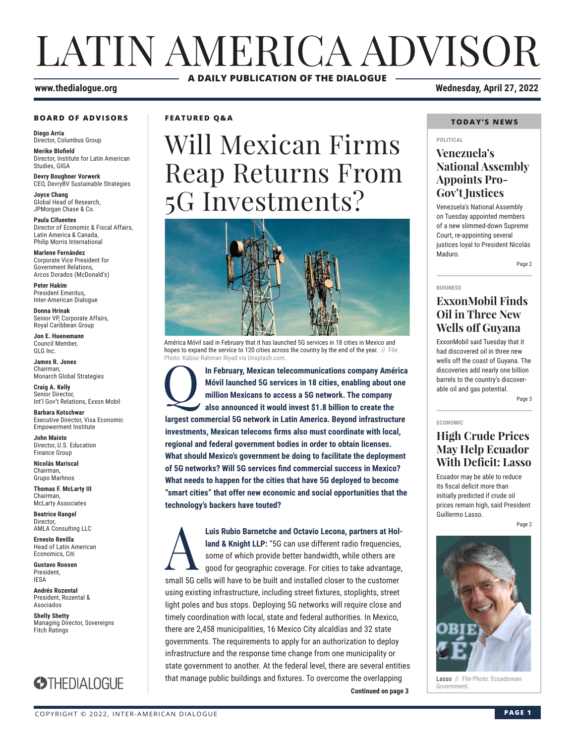# LATIN AMERICA ADVISOR **A DAILY PUBLICATION OF THE DIALOGUE**

#### **www.thedialogue.org Wednesday, April 27, 2022**

#### **BOARD OF ADVISORS**

**Diego Arria** Director, Columbus Group

**Merike Blofield** Director, Institute for Latin American Studies, GIGA

**Devry Boughner Vorwerk** CEO, DevryBV Sustainable Strategies

**Joyce Chang** Global Head of Research, JPMorgan Chase & Co.

**Paula Cifuentes** Director of Economic & Fiscal Affairs, Latin America & Canada, Philip Morris International

**Marlene Fernández** Corporate Vice President for Government Relations, Arcos Dorados (McDonald's)

**Peter Hakim** President Emeritus, Inter-American Dialogue

**Donna Hrinak** Senior VP, Corporate Affairs, Royal Caribbean Group

**Jon E. Huenemann** Council Member, GLG Inc.

**James R. Jones** Chairman, Monarch Global Strategies

**Craig A. Kelly** Senior Director. Int'l Gov't Relations, Exxon Mobil

**Barbara Kotschwar** Executive Director, Visa Economic Empowerment Institute

**John Maisto** Director, U.S. Education Finance Group

**Nicolás Mariscal** Chairman, Grupo Marhnos

**Thomas F. McLarty III** Chairman, McLarty Associates

**Beatrice Rangel**  Director, AMLA Consulting LLC

**Ernesto Revilla**  Head of Latin American

Economics, Citi **Gustavo Roosen** President, IESA

**Andrés Rozental**  President, Rozental & Asociados

**Shelly Shetty** Managing Director, Sovereigns Fitch Ratings



#### **FEATURED Q&A**

# Will Mexican Firms Reap Returns From 5G Investments?



América Móvil said in February that it has launched 5G services in 18 cities in Mexico and hopes to expand the service to 120 cities across the country by the end of the year. // File Photo: Kabiur Rahman Riyad via Unsplash.com.

In February, Mexican telecommunications company América Móvil launched 5G services in 18 cities, enabling about one million Mexicans to access a 5G network. The company also announced it would invest \$1.8 billion to create **Móvil launched 5G services in 18 cities, enabling about one million Mexicans to access a 5G network. The company also announced it would invest \$1.8 billion to create the largest commercial 5G network in Latin America. Beyond infrastructure investments, Mexican telecoms firms also must coordinate with local, regional and federal government bodies in order to obtain licenses. What should Mexico's government be doing to facilitate the deployment of 5G networks? Will 5G services find commercial success in Mexico? What needs to happen for the cities that have 5G deployed to become "smart cities" that offer new economic and social opportunities that the technology's backers have touted?**

**Continued on page 3** Luis Rubio Barnetche and Octavio Lecona, partners at Holland & Knight LLP: "5G can use different radio frequencies, some of which provide better bandwidth, while others are good for geographic coverage. For cities to take **land & Knight LLP:** "5G can use different radio frequencies, some of which provide better bandwidth, while others are good for geographic coverage. For cities to take advantage, small 5G cells will have to be built and installed closer to the customer using existing infrastructure, including street fixtures, stoplights, street light poles and bus stops. Deploying 5G networks will require close and timely coordination with local, state and federal authorities. In Mexico, there are 2,458 municipalities, 16 Mexico City alcaldías and 32 state governments. The requirements to apply for an authorization to deploy infrastructure and the response time change from one municipality or state government to another. At the federal level, there are several entities that manage public buildings and fixtures. To overcome the overlapping

#### **TODAY'S NEWS**

#### **POLITICAL**

#### **Venezuela's National Assembly Appoints Pro-Gov't Justices**

Venezuela's National Assembly on Tuesday appointed members of a new slimmed-down Supreme Court, re-appointing several justices loyal to President Nicolás Maduro.

Page 2

**BUSINESS**

#### **ExxonMobil Finds Oil in Three New Wells off Guyana**

ExxonMobil said Tuesday that it had discovered oil in three new wells off the coast of Guyana. The discoveries add nearly one billion barrels to the country's discoverable oil and gas potential.

Page 3

#### **ECONOMIC**

#### **High Crude Prices May Help Ecuador With Deficit: Lasso**

Ecuador may be able to reduce its fiscal deficit more than initially predicted if crude oil prices remain high, said President Guillermo Lasso.

Page 2



Lasso // File Photo: Ecuadorean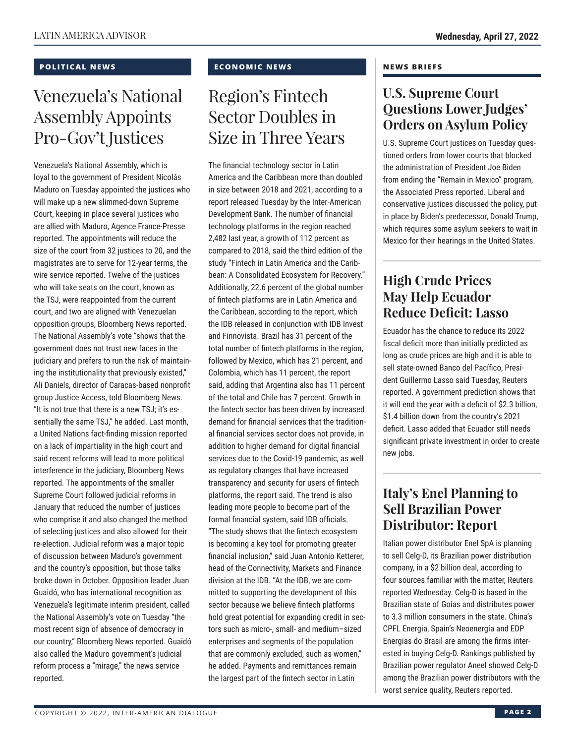#### **POLITICAL NEWS**

## Venezuela's National Assembly Appoints Pro-Gov't Justices

Venezuela's National Assembly, which is loyal to the government of President Nicolás Maduro on Tuesday appointed the justices who will make up a new slimmed-down Supreme Court, keeping in place several justices who are allied with Maduro, Agence France-Presse reported. The appointments will reduce the size of the court from 32 justices to 20, and the magistrates are to serve for 12-year terms, the wire service reported. Twelve of the justices who will take seats on the court, known as the TSJ, were reappointed from the current court, and two are aligned with Venezuelan opposition groups, Bloomberg News reported. The National Assembly's vote "shows that the government does not trust new faces in the judiciary and prefers to run the risk of maintaining the institutionality that previously existed," Ali Daniels, director of Caracas-based nonprofit group Justice Access, told Bloomberg News. "It is not true that there is a new TSJ; it's essentially the same TSJ," he added. Last month, a United Nations fact-finding mission reported on a lack of impartiality in the high court and said recent reforms will lead to more political interference in the judiciary, Bloomberg News reported. The appointments of the smaller Supreme Court followed judicial reforms in January that reduced the number of justices who comprise it and also changed the method of selecting justices and also allowed for their re-election. Judicial reform was a major topic of discussion between Maduro's government and the country's opposition, but those talks broke down in October. Opposition leader Juan Guaidó, who has international recognition as Venezuela's legitimate interim president, called the National Assembly's vote on Tuesday "the most recent sign of absence of democracy in our country," Bloomberg News reported. Guaidó also called the Maduro government's judicial reform process a "mirage," the news service reported.

#### **ECONOMIC NEWS**

## Region's Fintech Sector Doubles in Size in Three Years

The financial technology sector in Latin America and the Caribbean more than doubled in size between 2018 and 2021, according to a report released Tuesday by the Inter-American Development Bank. The number of financial technology platforms in the region reached 2,482 last year, a growth of 112 percent as compared to 2018, said the third edition of the study "Fintech in Latin America and the Caribbean: A Consolidated Ecosystem for Recovery." Additionally, 22.6 percent of the global number of fintech platforms are in Latin America and the Caribbean, according to the report, which the IDB released in conjunction with IDB Invest and Finnovista. Brazil has 31 percent of the total number of fintech platforms in the region, followed by Mexico, which has 21 percent, and Colombia, which has 11 percent, the report said, adding that Argentina also has 11 percent of the total and Chile has 7 percent. Growth in the fintech sector has been driven by increased demand for financial services that the traditional financial services sector does not provide, in addition to higher demand for digital financial services due to the Covid-19 pandemic, as well as regulatory changes that have increased transparency and security for users of fintech platforms, the report said. The trend is also leading more people to become part of the formal financial system, said IDB officials. "The study shows that the fintech ecosystem is becoming a key tool for promoting greater financial inclusion," said Juan Antonio Ketterer, head of the Connectivity, Markets and Finance division at the IDB. "At the IDB, we are committed to supporting the development of this sector because we believe fintech platforms hold great potential for expanding credit in sectors such as micro-, small- and medium–sized enterprises and segments of the population that are commonly excluded, such as women," he added. Payments and remittances remain the largest part of the fintech sector in Latin

#### **NEWS BRIEFS**

### **U.S. Supreme Court Questions Lower Judges' Orders on Asylum Policy**

U.S. Supreme Court justices on Tuesday questioned orders from lower courts that blocked the administration of President Joe Biden from ending the "Remain in Mexico" program, the Associated Press reported. Liberal and conservative justices discussed the policy, put in place by Biden's predecessor, Donald Trump, which requires some asylum seekers to wait in Mexico for their hearings in the United States.

### **High Crude Prices May Help Ecuador Reduce Deficit: Lasso**

Ecuador has the chance to reduce its 2022 fiscal deficit more than initially predicted as long as crude prices are high and it is able to sell state-owned Banco del Pacífico, President Guillermo Lasso said Tuesday, Reuters reported. A government prediction shows that it will end the year with a deficit of \$2.3 billion, \$1.4 billion down from the country's 2021 deficit. Lasso added that Ecuador still needs significant private investment in order to create new jobs.

### **Italy's Enel Planning to Sell Brazilian Power Distributor: Report**

Italian power distributor Enel SpA is planning to sell Celg-D, its Brazilian power distribution company, in a \$2 billion deal, according to four sources familiar with the matter, Reuters reported Wednesday. Celg-D is based in the Brazilian state of Goias and distributes power to 3.3 million consumers in the state. China's CPFL Energia, Spain's Neoenergia and EDP Energias do Brasil are among the firms interested in buying Celg-D. Rankings published by Brazilian power regulator Aneel showed Celg-D among the Brazilian power distributors with the worst service quality, Reuters reported.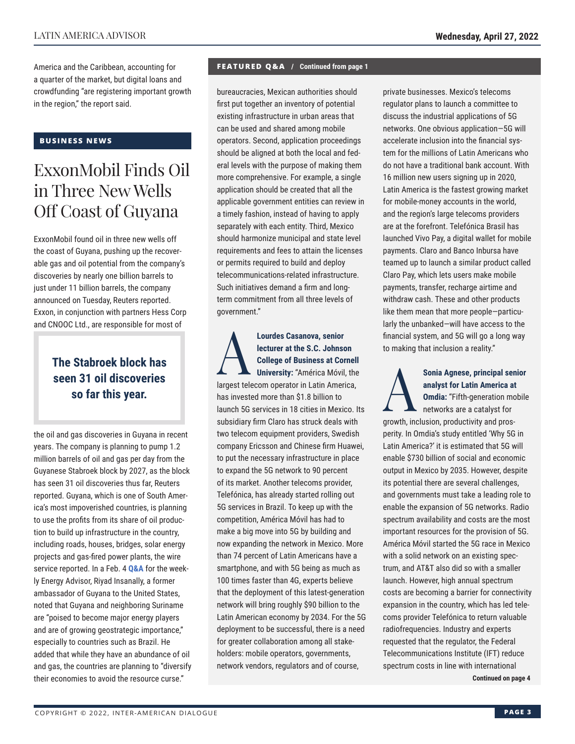America and the Caribbean, accounting for a quarter of the market, but digital loans and crowdfunding "are registering important growth in the region," the report said.

#### **BUSINESS NEWS**

### ExxonMobil Finds Oil in Three New Wells Off Coast of Guyana

ExxonMobil found oil in three new wells off the coast of Guyana, pushing up the recoverable gas and oil potential from the company's discoveries by nearly one billion barrels to just under 11 billion barrels, the company announced on Tuesday, Reuters reported. Exxon, in conjunction with partners Hess Corp and CNOOC Ltd., are responsible for most of

### **The Stabroek block has seen 31 oil discoveries so far this year.**

the oil and gas discoveries in Guyana in recent years. The company is planning to pump 1.2 million barrels of oil and gas per day from the Guyanese Stabroek block by 2027, as the block has seen 31 oil discoveries thus far, Reuters reported. Guyana, which is one of South America's most impoverished countries, is planning to use the profits from its share of oil production to build up infrastructure in the country, including roads, houses, bridges, solar energy projects and gas-fired power plants, the wire service reported. In a Feb. 4 **Q&A** for the weekly Energy Advisor, Riyad Insanally, a former ambassador of Guyana to the United States, noted that Guyana and neighboring Suriname are "poised to become major energy players and are of growing geostrategic importance," especially to countries such as Brazil. He added that while they have an abundance of oil and gas, the countries are planning to "diversify their economies to avoid the resource curse."

#### **FEATURED Q&A / Continued from page 1**

bureaucracies, Mexican authorities should first put together an inventory of potential existing infrastructure in urban areas that can be used and shared among mobile operators. Second, application proceedings should be aligned at both the local and federal levels with the purpose of making them more comprehensive. For example, a single application should be created that all the applicable government entities can review in a timely fashion, instead of having to apply separately with each entity. Third, Mexico should harmonize municipal and state level requirements and fees to attain the licenses or permits required to build and deploy telecommunications-related infrastructure. Such initiatives demand a firm and longterm commitment from all three levels of government."

**Lourdes Casanova, senior<br>
lecturer at the S.C. Johnson<br>
College of Business at Cor<br>
University: "América Móvil lecturer at the S.C. Johnson College of Business at Cornell University:** "América Móvil, the largest telecom operator in Latin America, has invested more than \$1.8 billion to launch 5G services in 18 cities in Mexico. Its subsidiary firm Claro has struck deals with two telecom equipment providers, Swedish company Ericsson and Chinese firm Huawei, to put the necessary infrastructure in place to expand the 5G network to 90 percent of its market. Another telecoms provider, Telefónica, has already started rolling out 5G services in Brazil. To keep up with the competition, América Móvil has had to make a big move into 5G by building and now expanding the network in Mexico. More than 74 percent of Latin Americans have a smartphone, and with 5G being as much as 100 times faster than 4G, experts believe that the deployment of this latest-generation network will bring roughly \$90 billion to the Latin American economy by 2034. For the 5G deployment to be successful, there is a need for greater collaboration among all stakeholders: mobile operators, governments, network vendors, regulators and of course,

private businesses. Mexico's telecoms regulator plans to launch a committee to discuss the industrial applications of 5G networks. One obvious application—5G will accelerate inclusion into the financial system for the millions of Latin Americans who do not have a traditional bank account. With 16 million new users signing up in 2020, Latin America is the fastest growing market for mobile-money accounts in the world, and the region's large telecoms providers are at the forefront. Telefónica Brasil has launched Vivo Pay, a digital wallet for mobile payments. Claro and Banco Inbursa have teamed up to launch a similar product called Claro Pay, which lets users make mobile payments, transfer, recharge airtime and withdraw cash. These and other products like them mean that more people—particularly the unbanked—will have access to the financial system, and 5G will go a long way to making that inclusion a reality."

Sonia Agnese, principal senior<br>
analyst for Latin America at<br> **Omdia:** "Fifth-generation mobile<br>
networks are a catalyst for<br> **ARRY STAND AND ARRY STAND AND ARRY STAND AND ARRY STAND AND ARRY STAND AND ARRY STAND AND ARRY analyst for Latin America at Omdia:** "Fifth-generation mobile networks are a catalyst for

growth, inclusion, productivity and prosperity. In Omdia's study entitled 'Why 5G in Latin America?' it is estimated that 5G will enable \$730 billion of social and economic output in Mexico by 2035. However, despite its potential there are several challenges, and governments must take a leading role to enable the expansion of 5G networks. Radio spectrum availability and costs are the most important resources for the provision of 5G. América Móvil started the 5G race in Mexico with a solid network on an existing spectrum, and AT&T also did so with a smaller launch. However, high annual spectrum costs are becoming a barrier for connectivity expansion in the country, which has led telecoms provider Telefónica to return valuable radiofrequencies. Industry and experts requested that the regulator, the Federal Telecommunications Institute (IFT) reduce spectrum costs in line with international

**Continued on page 4**